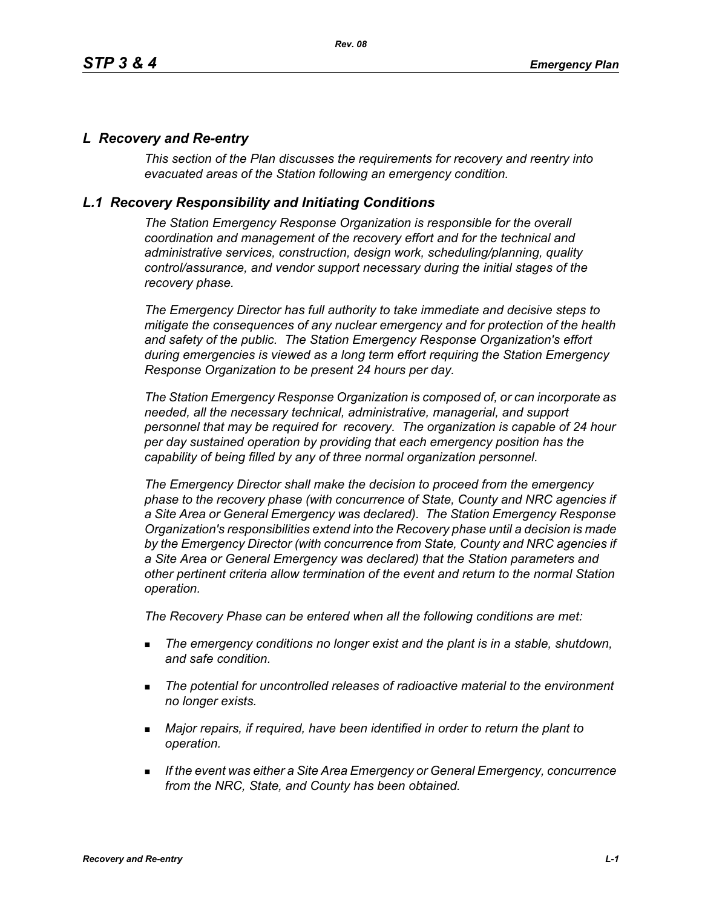## *L Recovery and Re-entry*

*This section of the Plan discusses the requirements for recovery and reentry into evacuated areas of the Station following an emergency condition.* 

## *L.1 Recovery Responsibility and Initiating Conditions*

*The Station Emergency Response Organization is responsible for the overall coordination and management of the recovery effort and for the technical and administrative services, construction, design work, scheduling/planning, quality control/assurance, and vendor support necessary during the initial stages of the recovery phase.*

*The Emergency Director has full authority to take immediate and decisive steps to mitigate the consequences of any nuclear emergency and for protection of the health and safety of the public. The Station Emergency Response Organization's effort during emergencies is viewed as a long term effort requiring the Station Emergency Response Organization to be present 24 hours per day.*

*The Station Emergency Response Organization is composed of, or can incorporate as needed, all the necessary technical, administrative, managerial, and support personnel that may be required for recovery. The organization is capable of 24 hour per day sustained operation by providing that each emergency position has the capability of being filled by any of three normal organization personnel.*

*The Emergency Director shall make the decision to proceed from the emergency phase to the recovery phase (with concurrence of State, County and NRC agencies if a Site Area or General Emergency was declared). The Station Emergency Response Organization's responsibilities extend into the Recovery phase until a decision is made by the Emergency Director (with concurrence from State, County and NRC agencies if a Site Area or General Emergency was declared) that the Station parameters and other pertinent criteria allow termination of the event and return to the normal Station operation.*

*The Recovery Phase can be entered when all the following conditions are met:*

- *The emergency conditions no longer exist and the plant is in a stable, shutdown, and safe condition.*
- *The potential for uncontrolled releases of radioactive material to the environment no longer exists.*
- *Major repairs, if required, have been identified in order to return the plant to operation.*
- *If the event was either a Site Area Emergency or General Emergency, concurrence from the NRC, State, and County has been obtained.*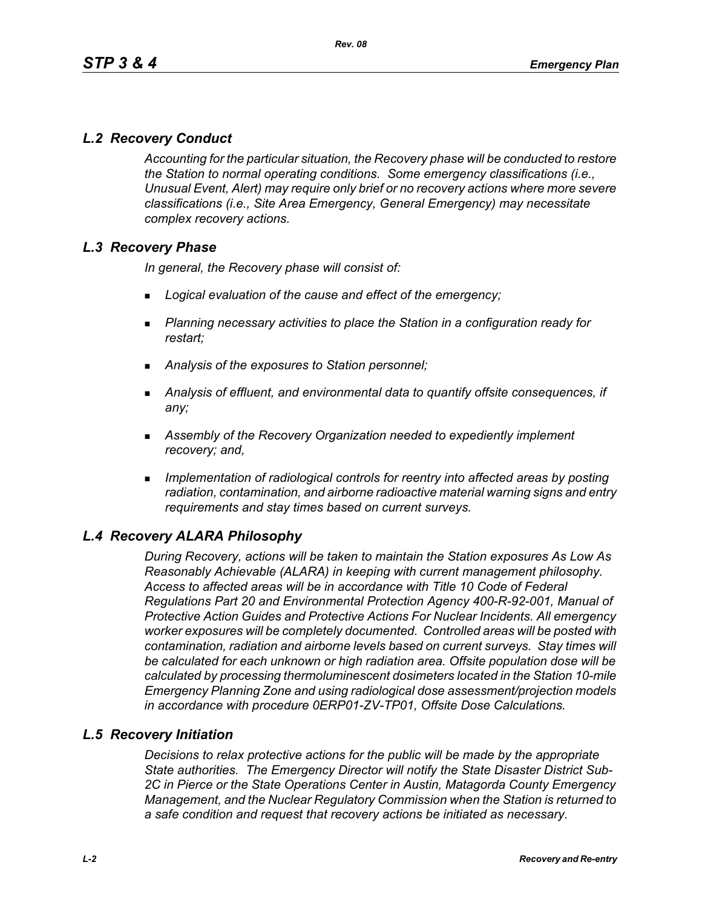# *L.2 Recovery Conduct*

*Accounting for the particular situation, the Recovery phase will be conducted to restore the Station to normal operating conditions. Some emergency classifications (i.e., Unusual Event, Alert) may require only brief or no recovery actions where more severe classifications (i.e., Site Area Emergency, General Emergency) may necessitate complex recovery actions.*

## *L.3 Recovery Phase*

*In general, the Recovery phase will consist of:*

- *Logical evaluation of the cause and effect of the emergency;*
- *Planning necessary activities to place the Station in a configuration ready for restart;*
- *Analysis of the exposures to Station personnel;*
- *Analysis of effluent, and environmental data to quantify offsite consequences, if any;*
- *Assembly of the Recovery Organization needed to expediently implement recovery; and,*
- *Implementation of radiological controls for reentry into affected areas by posting radiation, contamination, and airborne radioactive material warning signs and entry requirements and stay times based on current surveys.*

## *L.4 Recovery ALARA Philosophy*

*During Recovery, actions will be taken to maintain the Station exposures As Low As Reasonably Achievable (ALARA) in keeping with current management philosophy. Access to affected areas will be in accordance with Title 10 Code of Federal Regulations Part 20 and Environmental Protection Agency 400-R-92-001, Manual of Protective Action Guides and Protective Actions For Nuclear Incidents. All emergency worker exposures will be completely documented. Controlled areas will be posted with contamination, radiation and airborne levels based on current surveys. Stay times will be calculated for each unknown or high radiation area. Offsite population dose will be calculated by processing thermoluminescent dosimeters located in the Station 10-mile Emergency Planning Zone and using radiological dose assessment/projection models in accordance with procedure 0ERP01-ZV-TP01, Offsite Dose Calculations.*

### *L.5 Recovery Initiation*

*Decisions to relax protective actions for the public will be made by the appropriate State authorities. The Emergency Director will notify the State Disaster District Sub-2C in Pierce or the State Operations Center in Austin, Matagorda County Emergency Management, and the Nuclear Regulatory Commission when the Station is returned to a safe condition and request that recovery actions be initiated as necessary.*